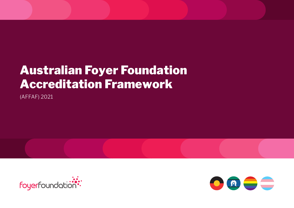# Australian Foyer Foundation Accreditation Framework

(AFFAF) 2021



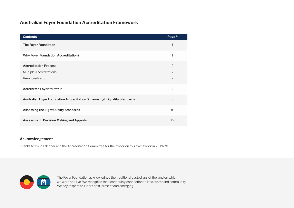# **Australian Foyer Foundation Accreditation Framework**

| <b>Contents</b>                                                                 | Page #         |
|---------------------------------------------------------------------------------|----------------|
| <b>The Foyer Foundation</b>                                                     | 1              |
| <b>Why Foyer Foundation Accreditation?</b>                                      | $\mathbf 1$    |
| <b>Accreditation Process</b>                                                    | 2              |
| <b>Multiple Accreditations</b>                                                  | $\overline{2}$ |
| Re-accreditation                                                                | $\overline{2}$ |
| Accredited Foyer™ Status                                                        | $\overline{2}$ |
| <b>Australian Foyer Foundation Accreditation Scheme Eight Quality Standards</b> | 3              |
| Assessing the Eight Quality Standards                                           | 10             |
| <b>Assessment, Decision Making and Appeals</b>                                  | 12             |

### **Acknowledgement**

Thanks to Colin Falconer and the Accreditation Committee for their work on this framework in 2019/20.



The Foyer Foundation acknowledges the traditional custodians of the land on which we work and live. We recognise their continuing connection to land, water and community. We pay respect to Elders past, present and emerging.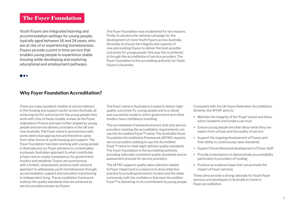# The Foyer Foundation

Youth Foyers are integrated learning and accommodation settings for young people, typically aged between 16 and 24 years, who are at risk of or experiencing homelessness. Foyers provide a point in time service that enables young people to experience stable housing while developing and exploring educational and employment pathways.

The Foyer Foundation was established for two reasons. Firstly, to advance the national campaign for the development of more Youth Foyers across Australia. Secondly, to ensure the integrity and capacity of new and existing Foyers to deliver the best possible outcomes for young people. One way this is achieved is through the accreditation of service providers. The Foyer Foundation is the accrediting authority for Youth Foyers in Australia.

### **Why Foyer Foundation Accreditation?**

There are many excellent models of service delivery in the housing and support sector across Australia, all achieving terrific outcomes for the young people they work with. One of these models, known as the Foyer, originated in France and was further shaped by young people and service delivery providers in the UK and now Australia. The Foyer name is synonymous with some distinctive approaches and therefore varies from other forms of youth housing and support. The Foyer Foundation has been working with young people in Australia and our Foyer pioneers to contextualise a uniquely Australian approach to what constitutes a Foyer and to create transparency for government, funders and residents. Foyers are synonymous with a holistic, empowered, positive multi-sectoral approach to addressing youth homelessness through accommodation, support and education transitioning to independent living. The accreditation framework outlines the quality standards that are achieved by service providers known as Foyers.

The Foyer name in Australia is trusted to deliver highquality outcomes for young people and is a robust and successful model in which government and other funders have confidence investing.

This accreditation framework ensures that only service providers meeting the accreditation requirements can use the Accredited Foyer™ name. The Australian Foyer Foundation Accreditation Framework (AFFAF) requires service providers seeking to use the Accredited Foyer™ name to meet eight defined quality standards. The Foyer Foundation is the accrediting authority providing nationally consistent quality standards and an assessment process for service providers.

The AFFAF supports quality data collection related to Foyer impact and is a resource to drive reflective practice to provide government, funders and the wider community with the confidence that each Accredited Foyer™ is delivering on its commitment to young people. Consistent with the UK Foyer Federation Accreditation Scheme, the AFFAF aims to:

- **+** Maintain the integrity of the 'Foyer' brand and ethos which residents and funders can trust
- **+** Ensure young people are clear about what they can expect from a Foyer and the quality of service
- **+** Support the ongoing development of Foyers and their ability to continuously raise standards
- **+** Support the professional development of Foyer staff
- **+** Provide a mechanism to demonstrate accountability, particularly to providers of funding
- **+** Produce an evidence base that can promote the impact of Foyer services

These aims provide a strong rationale for Youth Foyer services and developers in Australia to invest in Foyer accreditation.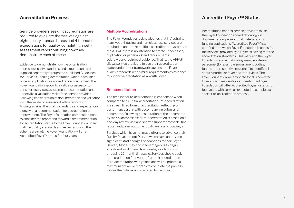# **Accreditation Process**

Service providers seeking accreditation are required to evaluate themselves against eight quality standard areas and 4 thematic expectations for quality, completing a selfassessment report outlining how they demonstrate each of these.

Evidence to demonstrate how the organisation addresses quality standards and expectations are supplied separately through the published Guidelines for Services Seeking Accreditation, which is provided once an application for accreditation is accepted. The Foyer Foundation appoints a validator assessor to consider a service's assessment documentation and undertake a validation visit of the service provider. Following consideration of documentation and validation visit, the validator assessor drafts a report with findings against the quality standards and expectations along with a recommendation for accreditation or improvement. The Foyer Foundation composes a panel to consider the report and forward a recommendation for accreditation status to the Foyer Foundation Board. If all the quality standards and expectations of the scheme are met, the Foyer Foundation will offer Accredited Foyer™ status for four years.

### **Multiple Accreditations**

The Foyer Foundation acknowledges that in Australia, many youth housing and homelessness services are required to undertake multiple accreditation systems. In the AFFAF there is no intention to create unnecessary duplication or paperwork and requirements acknowledge reciprocal evidence. That is, the AFFAF allows service providers to use their accreditation status under other frameworks against the Foyer quality standards with similar requirements as evidence to support accreditation as a Youth Foyer.

### **Re-accreditation**

The timeline for re-accreditation is condensed when compared to full initial accreditation. Re-accreditation is a streamlined form of accreditation reflecting on performance along with accompanying submission documents. Following consideration of the documents by the validator assessor, re-accreditation is based on a one-day review visit and shorter support timescale, final report and panel outcome. Costs are less accordingly.

Services which have not made efforts to advance their Quality Development Plan, or which have undergone significant staff changes or adaptions to their Foyer Delivery Model may find it advantageous to begin afresh and work towards a two-day validation visit through a 12-month timescale. Services should seek re-accreditation four years after their accreditation or re-accreditation was gained and will be granted a maximum of twelve months to complete the process before their status is considered for removal.

# **Accredited Foyer™ Status**

Accreditation entitles service providers to use the Foyer Foundation accreditation logo in documentation, promotional material and on funding applications. 'Accredited Foyer™' is a certified term which Foyer Foundation licences for the services provided by a Foyer as having met the accreditation standards. This mark and the Foyer Foundation accreditation logo enable external personnel (for example, government bodies, funders or prospective residents) to identify this about a particular foyer and its services. The Foyer Foundation will advocate for all Accredited Foyers™ and residents or students. The Foyer Foundation will offer Accredited Foyer™ status for four years, with services expected to complete a shorter re-accreditation process.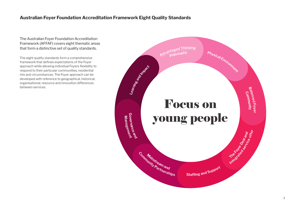# **Australian Foyer Foundation Accreditation Framework Eight Quality Standards**

The Australian Foyer Foundation Accreditation Framework (AFFAF) covers eight thematic areas that form a distinctive set of quality standards.

The eight quality standards form a comprehensive framework that defines expectations of the Foyer approach while allowing individual Foyers flexibility to respond to their particular communities, residential mix and circumstances. The Foyer approach can be developed with reference to geographical, historical, organisational, resource and innovation differences between services.

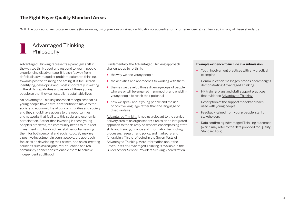# **The Eight Foyer Quality Standard Areas**

\*N.B. The concept of reciprocal evidence (for example, using previously gained certification or accreditation or other evidence) can be used in many of these standards.

# **Advantaged Thinking** Philosophy

Advantaged Thinking represents a paradigm shift in the way we think about and respond to young people experiencing disadvantage. It is a shift away from deficit, disadvantaged or problem-saturated thinking, towards positive thinking and acting. It is focused on identifying, developing and, most importantly, investing in the skills, capabilities and assets of these young people so that they can establish sustainable lives.

An Advantaged Thinking approach recognises that all young people have a vital contribution to make to the social and economic life of our communities and society and they should have access to the opportunities and networks that facilitate this social and economic participation. Rather than investing in these young people's problems, the community needs to re-direct investment into building their abilities or harnessing them for both personal and social good. By making a positive investment in young people, the approach focusses on developing their assets, and on co-creating solutions such as real jobs, real education and real community connections to enable them to achieve independent adulthood.

Fundamentally, the Advantaged Thinking approach challenges us to re-think:

- **+** the way we see young people
- **+** the activities and approaches to working with them
- **+** the way we develop those diverse groups of people who are or will be engaged in promoting and enabling young people to reach their potential
- **+** how we speak about young people and the use of positive language rather than the language of disadvantage

Advantaged Thinking is not just relevant to the service delivery area of an organisation; it relies on an integrated approach to the delivery of services encompassing staff skills and training, finance and information technology processes, research and policy, and marketing and fundraising. This is reflected in the Seven Tests of Advantaged Thinking. More information about the Seven Tests of Advantaged Thinking is available in the Guidelines for Service Providers Seeking Accreditation.

### **Example evidence to include in a submission:**

- **+** Youth involvement practices with any practical examples
- **+** Communication messages, stories or campaigns demonstrating Advantaged Thinking
- **+** HR training plans and staff support practices that evidence Advantaged Thinking
- **+** Description of the support model/approach used with young people
- **+** Feedback gained from young people, staff or stakeholders
- **+** Data confirming Advantaged Thinking outcomes (which may refer to the data provided for Quality Standard Four)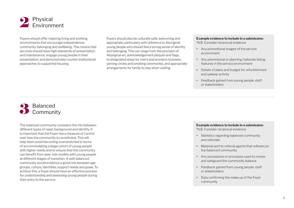

Foyers should offer inspiring living and working environments that encourage independence, community belonging and wellbeing. This means that services should have high standards of presentation and maintenance, engage young people in their presentation, and demonstrably counter institutional approaches to supported housing.

Foyers should also be culturally safe, welcoming and appropriate, particularly with reference to Aboriginal young people who should feel a strong sense of identity and belonging. This can range from the provision of Aboriginal art, acknowledgement plaques and flags, to designated areas for men's and women's business, yarning circles and smoking ceremonies, and appropriate arrangements for family to stay when visiting.

### **Example evidence to include in a submission:**

\*N.B. Consider reciprocal evidence

- **+** Any promotional images of the service environment
- **+** Any promotional or planning materials listing features in the service environment
- **+** Details of plans and budget for refurbishment and upkeep activity
- **+** Feedback gained from young people, staff or stakeholders



The balanced community considers the mix between different types of need, background and identity. It is important that the Foyer has a measure of control over how the community is constituted. This will help them avoid becoming overstretched in terms of accommodating a large cohort of young people with higher needs and to ensure that the community can benefit from peer role models with young people at different stages of transition. A well-balanced community would evidence a good mix between age groups, culture, identities, support needs and goals. To achieve this, a Foyer should have an effective process for understanding and assessing young people during their entry to the service.

#### **Example evidence to include in a submission:**

\*N.B. Consider reciprocal evidence

- **+** Statistics regarding balanced community and rationale
- **+** Material sent to referral agents that references the balanced community
- **+** Any procedures or processes used to review and safeguard the community balance
- **+** Feedback gained from young people, staff or stakeholders
- **+** Data confirming the make up of the Foyer community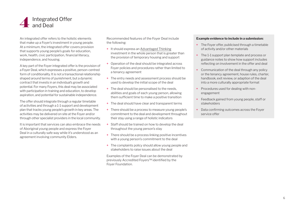

An integrated offer refers to the holistic elements that make up a Foyer's investment in young people. At a minimum, the integrated offer covers provision that supports young people's goals for education, work, health, civic participation, financial literacy, independence, and housing.

A key part of the Foyer integrated offer is the provision of a Foyer Deal, which expresses a positive, person-centred form of conditionality. It is not a transactional relationship shaped around terms of punishment, but a dynamic contract that invests in an individual's growth and potential. For many Foyers, this deal may be associated with participation in training and education, to develop aspiration, and potential for sustainable independence.

The offer should integrate through a regular timetable of activities and through a 1-1 support and development plan that tracks young people's growth in key areas. The activities may be delivered on site at the Foyer and/or through other specialist providers in the local community.

It is important that services can also embrace the needs of Aboriginal young people and express the Foyer Deal in a culturally safe way while it's understood as an agreement involving community Elders.

Recommended features of the Foyer Deal include the following:

- **+** It should express an Advantaged Thinking investment in the whole person that is greater than the provision of temporary housing and support
- **+** Operation of the deal should be integrated across Foyer policies and procedures rather than limited to a tenancy agreement
- **+** The entry needs and assessment process should be used to develop the initial scope of the deal
- **+** The deal should be personalised to the needs, abilities and goals of each young person, allowing them sufficient time to make a positive transition
- **+** The deal should have clear and transparent terms
- **+** There should be a process to measure young people's commitment to the deal and development throughout their stay using a range of holistic indicators
- **+** Staff should be trained on how to develop the deal throughout the young person's stay
- **+** There should be a process linking positive incentives with a young person's commitment to the deal
- **+** The complaints policy should allow young people and stakeholders to raise issues about the deal

Examples of the Foyer Deal can be demonstrated by previously Accredited Foyers™ identified by the Foyer Foundation.

### **Example evidence to include in a submission:**

- **+** The Foyer offer, publicised through a timetable of activity and/or other materials
- **+** The 1-1 support plan template and process or guidance notes to show how support includes reflecting on involvement in the offer and deal
- **+** Communication of the deal through any policy or the tenancy agreement, house rules, charter, handbook, exit review, or adaption of the deal into a more culturally appropriate format
- **+** Procedures used for dealing with nonengagement
- **+** Feedback gained from young people, staff or stakeholders
- **+** Data confirming outcomes across the Foyer service offer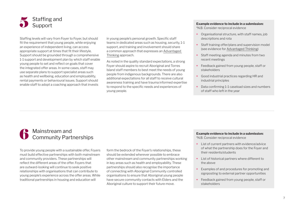

Staffing levels will vary from Foyer to Foyer, but should fit the requirement that young people, while enjoying an experience of independent living, can access appropriate support at times that fit their lifestyle. Support should be grounded through a comprehensive 1-1 support and development plan by which staff enable young people to set and reflect on goals that cover the integrated offer areas. In some cases, staff may use separate plans to support specialist areas such as health and wellbeing, education and employability, rental payments or behavioural issues. Support should enable staff to adopt a coaching approach that invests

in young people's personal growth. Specific staff teams in dedicated areas such as housing, security, 1-1 support, and training and involvement should share a common approach that expresses an Advantaged Thinking approach.

As noted in the quality standard expectations, a strong Foyer should aspire to recruit Aboriginal and Torres Island staff members to best meet the needs of young people from indigenous backgrounds. There are also additional expectations for all staff to receive cultural awareness training and have trauma informed expertise to respond to the specific needs and experiences of young people.

### **Example evidence to include in a submission:**

\*N.B. Consider reciprocal evidence

- **+** Organisational structure, with staff names, job descriptions and rota
- **+** Staff training offer/plans and supervision model (see evidence for Advantaged Thinking)
- **+** Staff meeting agenda and minutes from two recent meetings
- **+** Feedback gained from young people, staff or stakeholders
- **+** Good industrial practices regarding HR and industrial principles
- **+** Data confirming 1-1 caseload sizes and numbers of staff who left in the year

# 6 Mainstream and Community Partnerships

To provide young people with a sustainable offer, Foyers must build effective partnerships with both mainstream and community providers. These partnerships will reflect the different areas of the offer. Foyers that are outward-looking will continue to seek positive relationships with organisations that can contribute to young people's experience across the offer areas. While traditional partnerships in housing and education will

form the bedrock of the Foyer's relationships, these should be extended wherever possible to embrace other mainstream and community partnerships working in key areas such as health and employability. These partnerships should also recognise the importance of connecting with Aboriginal Community controlled organisations to ensure that Aboriginal young people have secure community contacts with Elders and the Aboriginal culture to support their future move.

### **Example evidence to include in a submission:**

\*N.B. Consider reciprocal evidence

- **+** List of current partners with evidence/advice of what the partnership does for the Foyer and their residents/students
- **+** List of historical partners where different to the above
- **+** Examples of and procedures for promoting and signposting to external partner opportunities
- **+** Feedback gained from young people, staff or stakeholders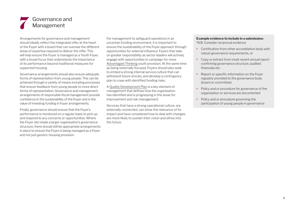# Governance and Management

Arrangements for governance and management should ideally reflect the integrated offer at the heart of the Foyer with a board that can oversee the different areas of expertise required to deliver the offer. This will help ensure the Foyer is managed as a Youth Foyer, with a broad focus that understands the importance of its performance beyond traditional measures for supported housing.

Governance arrangements should also ensure adequate forms of representation from young people. This can be achieved through a variety of means including processes that ensure feedback from young people to more direct forms of representation. Governance and management arrangements of responsible fiscal management provide confidence in the sustainability of the Foyer and in the value of investing funding in Foyer arrangements.

Finally, governance should ensure that the Foyer's performance is monitored on a regular basis to pick up and respond to any concerns or opportunities. Where the Foyer sits inside a larger organisation's governance structure, there should still be appropriate arrangements in place to ensure the Foyer is being managed as a Foyer and not just generic housing provision.

For management to safeguard operations in an uncertain funding environment, it is important to ensure the sustainability of the Foyer approach through opportunities for external influence. Foyers that take on greater responsibility as sector leaders will actively engage with opportunities to campaign for more Advantaged Thinking youth provision. At the same time as being externally focused, Foyers should also seek to embed a strong internal service culture that can withstand future shocks, and develop a contingency plan to cope with identified funding risks.

A Quality Development Plan is a key element of management that defines how the organisation has identified and is progressing in the areas for improvement and risk management.

Services that have a strong operational culture, are externally connected, can show the relevance of its impact and have considered how to deal with changes are more likely to sustain their vision and ethos into the future.

### **Example evidence to include in a submission:**

\*N.B. Consider reciprocal evidence

- **+** Certification from other accreditation body with robust governance requirements, or
- **+** Copy or extract from most recent annual report confirming governance structure, audited financials etc
- **+** Report or specific information on the Foyer regularly provided to the governance body (board or committee)
- **+** Policy and or procedure for governance of the organisation or services are documented
- **+** Policy and or procedure governing the participation of young people in governance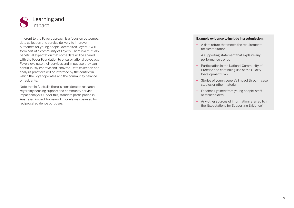

Inherent to the Foyer approach is a focus on outcomes, data collection and service delivery to improve outcomes for young people. Accredited Foyers™ will form part of a community of Foyers. There is a mutually beneficial expectation that some data will be shared with the Foyer Foundation to ensure national advocacy. Foyers evaluate their services and impact so they can continuously improve and innovate. Data collection and analysis practices will be informed by the context in which the Foyer operates and the community balance of residents.

Note that in Australia there is considerable research regarding housing support and community service impact analysis. Under this, standard participation in Australian impact framework models may be used for reciprocal evidence purposes.

### **Example evidence to include in a submission:**

- **+** A data return that meets the requirements for Accreditation
- **+** A supporting statement that explains any performance trends
- **+** Participation in the National Community of Practice and continuing use of the Quality Development Plan
- **+** Stories of young people's impact through case studies or other material
- **+** Feedback gained from young people, staff or stakeholders
- **+** Any other sources of information referred to in the 'Expectations for Supporting Evidence'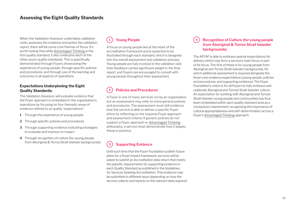# **Assessing the Eight Quality Standards**

When the Validation Assessor undertakes validation visits, assesses the evidence and writes the validation report, there will be some core themes of focus. It's worth noting that while Advantaged Thinking is the first quality standard, it also underpins each of the other seven quality standards. This is specifically demonstrated through Foyers showcasing the experience of young people, through specific policies and procedures, and through use of the learning and outcomes in all aspects of operations.

### **Expectations Underpinning the Eight Quality Standards:**

The Validation Assessor will evaluate evidence that the Foyer approach is embedded in the organisation's operations by focusing on four thematic areas of evidence refered to as quality 'expectations':

- **1** Through the experience of young people
- **2** Through specific policies and procedures
- **3** Through supporting evidence indicating strategies to evaluate and improve on impact
- **4** Through recognition of culture (for young people from Aboriginal & Torres Strait Islander backgrounds)

# **1 Young People**

A focus on young people lies at the heart of the accreditation framework and is expected to be illustrated through each standard, which is designed into the overall assessment and validation process. Young people are fully involved in the validation visit, their feedback carries significant weight in the final report, and Foyers are encouraged to consult with young people throughout their assessment.

# **2 Policies and Procedures**

A Foyer is one of many services run by an organisation but an assessment may refer to more general policies and procedures. The assessment must still evidence how the service is able to deliver a specific Foyer ethos by reflecting on the required Foyer approach and assessment criteria. If generic policies do not support a Foyer approach or Advantaged Thinking philosophy, a service must demonstrate how it adapts these in practice.

# **3 Supporting Evidence**

Until such time that the Foyer Foundation publish future plans for a Foyer Impact framework, services will be asked to submit an Accreditation data return that meets the specific requirements for supporting evidence in each Quality Standard as published in the Guidelines for Services Seeking Accreditation. This evidence may be submitted in different ways depending on how the service collects and reports on the relevant data required.

### **4 Recognition of Culture (for young people from Aboriginal & Torres Strait Islander backgrounds)**

The AFFAF is able to embrace special expectations for delivery which may form a service's main focus or part of its focus. The first of these is for young people from Aboriginal and Torres Strait Islander backgrounds, for which additional assessment is required alongside the three core evidence expectations (young people, policies and procedures, and supporting evidence). The Foyer Foundation's vision is for all Foyers to fully embrace and celebrate Aboriginal and Torrest Strait Islander culture. An expectation for working with Aboriginal and Torrest Strait Islander young people and communities has thus been embedded within each quality standard area as a compulsory requirement, recognising the importance of cultural appropriateness and self-determination across a Foyer's Advantaged Thinking approach.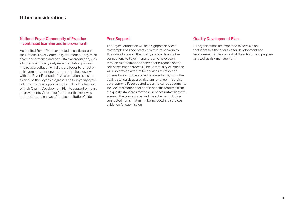# **Other considerations**

### **National Foyer Community of Practice – continued learning and improvement**

Accredited Foyers™ are expected to participate in the National Foyer Community of Practice. They must share performance data to sustain accreditation, with a lighter touch four yearly re-accreditation process. The re-accreditation will allow the Foyer to reflect on achievements, challenges and undertake a review with the Foyer Foundation's Accreditation assessor to discuss the Foyer's progress. The four-yearly cycle offers services an opportunity to make effective use of their Quality Development Plan to support ongoing improvements. An outline format for this review is included in section two of the Accreditation Guide.

### **Peer Support**

The Foyer Foundation will help signpost services to examples of good practice within its network to illustrate all areas of the quality standards and offer connections to Foyer managers who have been through Accreditation to offer peer guidance on the self-assessment process. The Community of Practice will also provide a forum for services to reflect on different areas of the accreditation scheme, using the quality standards as a curriculum for ongoing service development. Foyer accreditation guidance documents include information that details specific features from the quality standards for those services unfamiliar with some of the concepts behind the scheme, including suggested items that might be included in a service's evidence for submission.

### **Quality Development Plan**

All organisations are expected to have a plan that identifies the priorities for development and improvement in the context of the mission and purpose as a well as risk management.